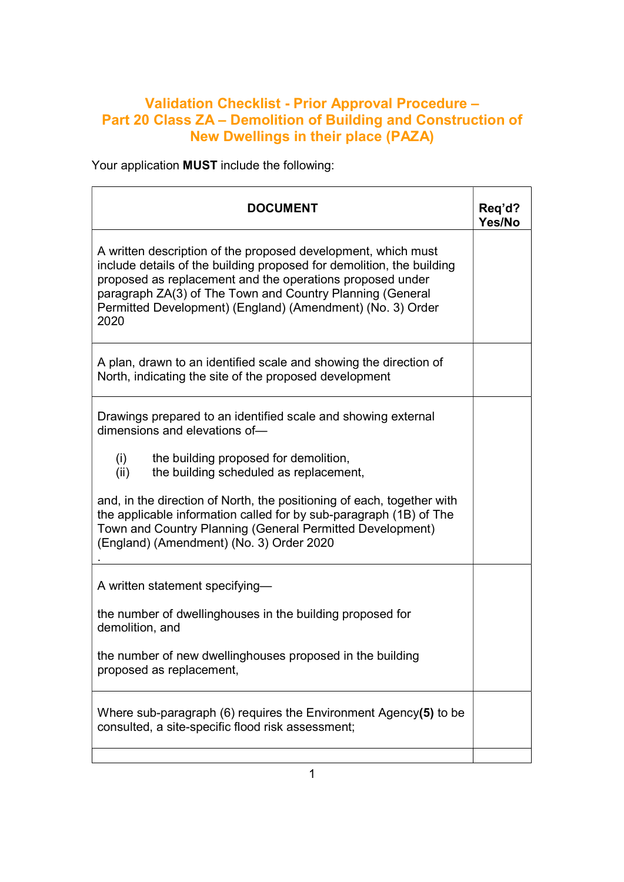## Validation Checklist - Prior Approval Procedure – Part 20 Class ZA – Demolition of Building and Construction of New Dwellings in their place (PAZA)

Your application MUST include the following:

| <b>DOCUMENT</b>                                                                                                                                                                                                                                                                                                                        | Req'd?<br>Yes/No |
|----------------------------------------------------------------------------------------------------------------------------------------------------------------------------------------------------------------------------------------------------------------------------------------------------------------------------------------|------------------|
| A written description of the proposed development, which must<br>include details of the building proposed for demolition, the building<br>proposed as replacement and the operations proposed under<br>paragraph ZA(3) of The Town and Country Planning (General<br>Permitted Development) (England) (Amendment) (No. 3) Order<br>2020 |                  |
| A plan, drawn to an identified scale and showing the direction of<br>North, indicating the site of the proposed development                                                                                                                                                                                                            |                  |
| Drawings prepared to an identified scale and showing external<br>dimensions and elevations of-                                                                                                                                                                                                                                         |                  |
| (i)<br>the building proposed for demolition,<br>the building scheduled as replacement,<br>(ii)                                                                                                                                                                                                                                         |                  |
| and, in the direction of North, the positioning of each, together with<br>the applicable information called for by sub-paragraph (1B) of The<br>Town and Country Planning (General Permitted Development)<br>(England) (Amendment) (No. 3) Order 2020                                                                                  |                  |
| A written statement specifying-                                                                                                                                                                                                                                                                                                        |                  |
| the number of dwellinghouses in the building proposed for<br>demolition, and                                                                                                                                                                                                                                                           |                  |
| the number of new dwellinghouses proposed in the building<br>proposed as replacement,                                                                                                                                                                                                                                                  |                  |
| Where sub-paragraph $(6)$ requires the Environment Agency(5) to be<br>consulted, a site-specific flood risk assessment;                                                                                                                                                                                                                |                  |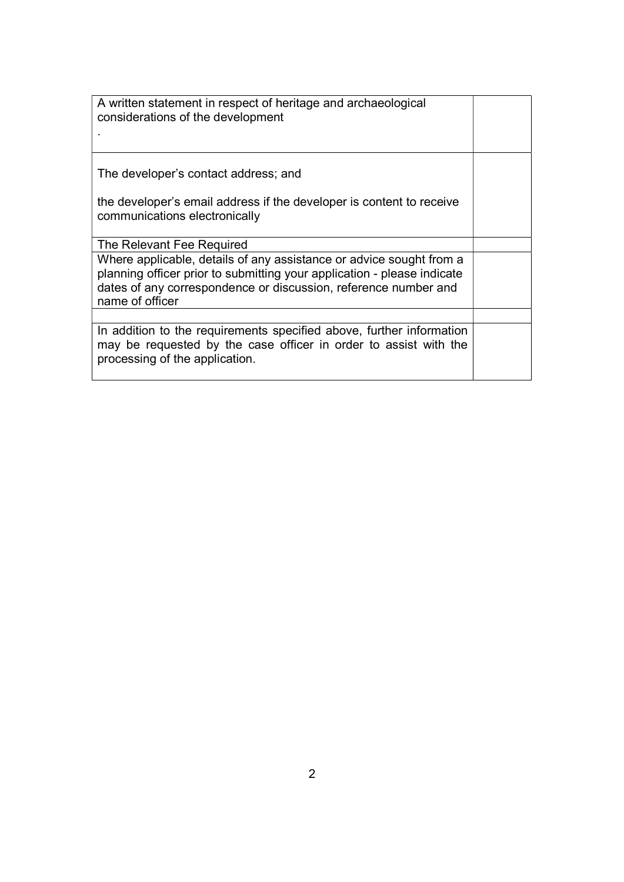| A written statement in respect of heritage and archaeological<br>considerations of the development                                                                                                                                   |  |
|--------------------------------------------------------------------------------------------------------------------------------------------------------------------------------------------------------------------------------------|--|
| The developer's contact address; and                                                                                                                                                                                                 |  |
| the developer's email address if the developer is content to receive<br>communications electronically                                                                                                                                |  |
| The Relevant Fee Required                                                                                                                                                                                                            |  |
| Where applicable, details of any assistance or advice sought from a<br>planning officer prior to submitting your application - please indicate<br>dates of any correspondence or discussion, reference number and<br>name of officer |  |
|                                                                                                                                                                                                                                      |  |
| In addition to the requirements specified above, further information<br>may be requested by the case officer in order to assist with the<br>processing of the application.                                                           |  |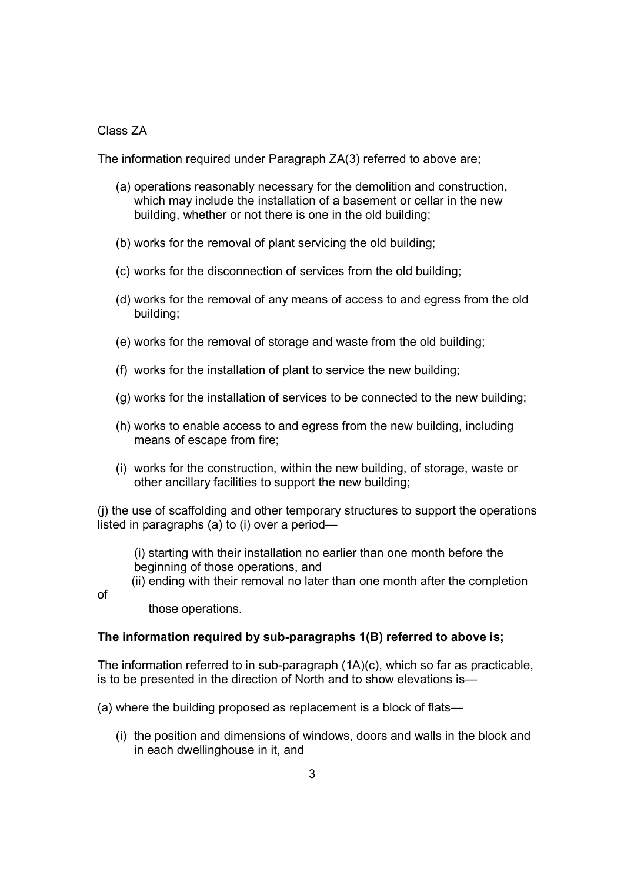## Class ZA

The information required under Paragraph ZA(3) referred to above are;

- (a) operations reasonably necessary for the demolition and construction, which may include the installation of a basement or cellar in the new building, whether or not there is one in the old building;
- (b) works for the removal of plant servicing the old building;
- (c) works for the disconnection of services from the old building;
- (d) works for the removal of any means of access to and egress from the old building;
- (e) works for the removal of storage and waste from the old building;
- (f) works for the installation of plant to service the new building;
- (g) works for the installation of services to be connected to the new building;
- (h) works to enable access to and egress from the new building, including means of escape from fire;
- (i) works for the construction, within the new building, of storage, waste or other ancillary facilities to support the new building;

(j) the use of scaffolding and other temporary structures to support the operations listed in paragraphs (a) to (i) over a period—

(i) starting with their installation no earlier than one month before the beginning of those operations, and

(ii) ending with their removal no later than one month after the completion

of

those operations.

## The information required by sub-paragraphs 1(B) referred to above is;

The information referred to in sub-paragraph (1A)(c), which so far as practicable, is to be presented in the direction of North and to show elevations is—

(a) where the building proposed as replacement is a block of flats—

(i) the position and dimensions of windows, doors and walls in the block and in each dwellinghouse in it, and